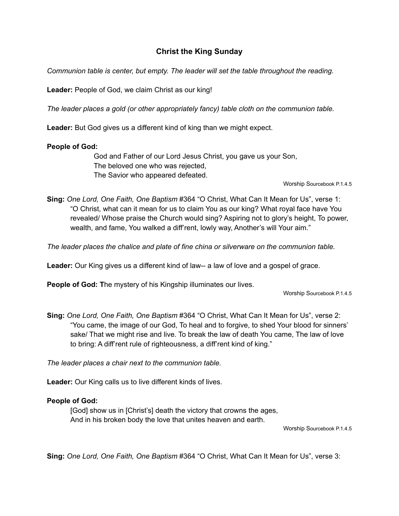## **Christ the King Sunday**

*Communion table is center, but empty. The leader will set the table throughout the reading.*

**Leader:** People of God, we claim Christ as our king!

*The leader places a gold (or other appropriately fancy) table cloth on the communion table.*

**Leader:** But God gives us a different kind of king than we might expect.

## **People of God:**

God and Father of our Lord Jesus Christ, you gave us your Son, The beloved one who was rejected, The Savior who appeared defeated.

Worship Sourcebook P.1.4.5

**Sing:** *One Lord, One Faith, One Baptism* #364 "O Christ, What Can It Mean for Us", verse 1: "O Christ, what can it mean for us to claim You as our king? What royal face have You revealed/ Whose praise the Church would sing? Aspiring not to glory's height, To power, wealth, and fame, You walked a diff'rent, lowly way, Another's will Your aim."

*The leader places the chalice and plate of fine china or silverware on the communion table.*

**Leader:** Our King gives us a different kind of law-- a law of love and a gospel of grace.

**People of God: T**he mystery of his Kingship illuminates our lives.

Worship Sourcebook P.1.4.5

**Sing:** *One Lord, One Faith, One Baptism* #364 "O Christ, What Can It Mean for Us", verse 2: "You came, the image of our God, To heal and to forgive, to shed Your blood for sinners' sake/ That we might rise and live. To break the law of death You came, The law of love to bring: A diff'rent rule of righteousness, a diff'rent kind of king."

*The leader places a chair next to the communion table.*

**Leader:** Our King calls us to live different kinds of lives.

## **People of God:**

[God] show us in [Christ's] death the victory that crowns the ages, And in his broken body the love that unites heaven and earth.

Worship Sourcebook P.1.4.5

**Sing:** *One Lord, One Faith, One Baptism* #364 "O Christ, What Can It Mean for Us", verse 3: